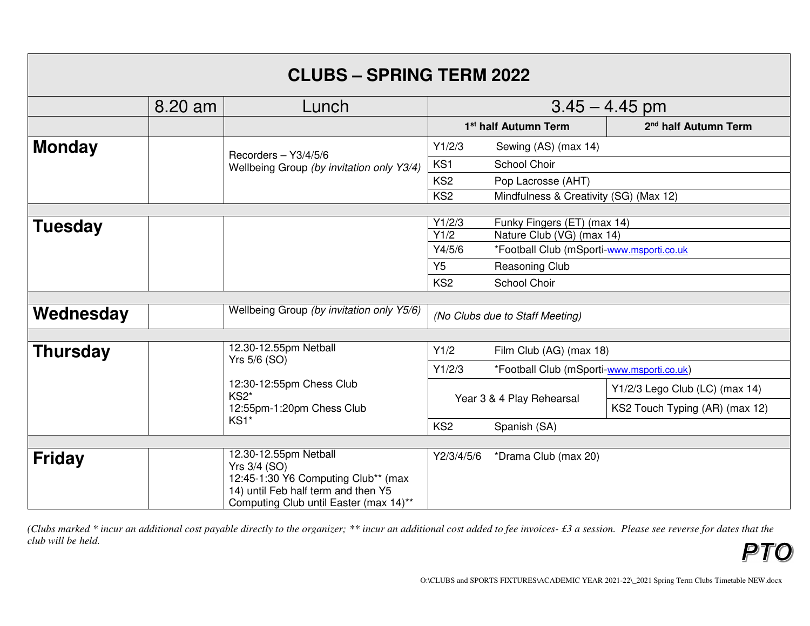| <b>CLUBS - SPRING TERM 2022</b> |         |                                                                                                                      |                                    |                                            |                                  |
|---------------------------------|---------|----------------------------------------------------------------------------------------------------------------------|------------------------------------|--------------------------------------------|----------------------------------|
|                                 | 8.20 am | Lunch                                                                                                                | $3.45 - 4.45$ pm                   |                                            |                                  |
|                                 |         |                                                                                                                      | 1 <sup>st</sup> half Autumn Term   |                                            | 2 <sup>nd</sup> half Autumn Term |
| <b>Monday</b>                   |         | Recorders $-$ Y3/4/5/6<br>Wellbeing Group (by invitation only Y3/4)                                                  | Y1/2/3<br>Sewing (AS) (max 14)     |                                            |                                  |
|                                 |         |                                                                                                                      | KS1                                | School Choir                               |                                  |
|                                 |         |                                                                                                                      | KS <sub>2</sub>                    | Pop Lacrosse (AHT)                         |                                  |
|                                 |         |                                                                                                                      | KS <sub>2</sub>                    | Mindfulness & Creativity (SG) (Max 12)     |                                  |
|                                 |         |                                                                                                                      | Y1/2/3                             | Funky Fingers (ET) (max 14)                |                                  |
| <b>Tuesday</b>                  |         |                                                                                                                      | Y1/2                               | Nature Club (VG) (max 14)                  |                                  |
|                                 |         | Y4/5/6<br>*Football Club (mSporti-www.msporti.co.uk                                                                  |                                    |                                            |                                  |
|                                 |         |                                                                                                                      | Y <sub>5</sub>                     | Reasoning Club                             |                                  |
|                                 |         |                                                                                                                      | KS <sub>2</sub>                    | School Choir                               |                                  |
|                                 |         |                                                                                                                      |                                    |                                            |                                  |
| Wednesday                       |         | Wellbeing Group (by invitation only Y5/6)                                                                            | (No Clubs due to Staff Meeting)    |                                            |                                  |
|                                 |         |                                                                                                                      |                                    |                                            |                                  |
| <b>Thursday</b>                 |         | 12.30-12.55pm Netball<br>Yrs 5/6 (SO)                                                                                | Y1/2                               | Film Club (AG) (max 18)                    |                                  |
|                                 |         |                                                                                                                      | Y1/2/3                             | *Football Club (mSporti-www.msporti.co.uk) |                                  |
|                                 |         | 12:30-12:55pm Chess Club<br>KS2*                                                                                     | Year 3 & 4 Play Rehearsal          |                                            | Y1/2/3 Lego Club (LC) (max 14)   |
|                                 |         | 12:55pm-1:20pm Chess Club<br>KS1*                                                                                    |                                    |                                            | KS2 Touch Typing (AR) (max 12)   |
|                                 |         |                                                                                                                      | KS <sub>2</sub>                    | Spanish (SA)                               |                                  |
|                                 |         |                                                                                                                      |                                    |                                            |                                  |
| <b>Friday</b>                   |         | 12.30-12.55pm Netball<br>Yrs 3/4 (SO)                                                                                | Y2/3/4/5/6<br>*Drama Club (max 20) |                                            |                                  |
|                                 |         | 12:45-1:30 Y6 Computing Club** (max<br>14) until Feb half term and then Y5<br>Computing Club until Easter (max 14)** |                                    |                                            |                                  |

*(Clubs marked \* incur an additional cost payable directly to the organizer; \*\* incur an additional cost added to fee invoices- £3 a session. Please see reverse for dates that the club will be held.* P1  $\bigcap$